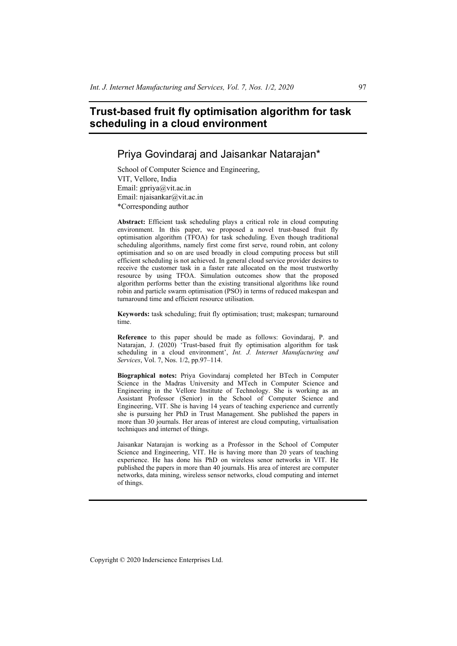# **Trust-based fruit fly optimisation algorithm for task scheduling in a cloud environment**

# Priya Govindaraj and Jaisankar Natarajan\*

School of Computer Science and Engineering, VIT, Vellore, India Email: gpriya@vit.ac.in Email: njaisankar@vit.ac.in \*Corresponding author

**Abstract:** Efficient task scheduling plays a critical role in cloud computing environment. In this paper, we proposed a novel trust-based fruit fly optimisation algorithm (TFOA) for task scheduling. Even though traditional scheduling algorithms, namely first come first serve, round robin, ant colony optimisation and so on are used broadly in cloud computing process but still efficient scheduling is not achieved. In general cloud service provider desires to receive the customer task in a faster rate allocated on the most trustworthy resource by using TFOA. Simulation outcomes show that the proposed algorithm performs better than the existing transitional algorithms like round robin and particle swarm optimisation (PSO) in terms of reduced makespan and turnaround time and efficient resource utilisation.

**Keywords:** task scheduling; fruit fly optimisation; trust; makespan; turnaround time.

**Reference** to this paper should be made as follows: Govindaraj, P. and Natarajan, J. (2020) <sup>2</sup>Trust-based fruit fly optimisation algorithm for task scheduling in a cloud environment', *Int. J. Internet Manufacturing and Services*, Vol. 7, Nos. 1/2, pp.97–114.

**Biographical notes:** Priya Govindaraj completed her BTech in Computer Science in the Madras University and MTech in Computer Science and Engineering in the Vellore Institute of Technology. She is working as an Assistant Professor (Senior) in the School of Computer Science and Engineering, VIT. She is having 14 years of teaching experience and currently she is pursuing her PhD in Trust Management. She published the papers in more than 30 journals. Her areas of interest are cloud computing, virtualisation techniques and internet of things.

Jaisankar Natarajan is working as a Professor in the School of Computer Science and Engineering, VIT. He is having more than 20 years of teaching experience. He has done his PhD on wireless senor networks in VIT. He published the papers in more than 40 journals. His area of interest are computer networks, data mining, wireless sensor networks, cloud computing and internet of things.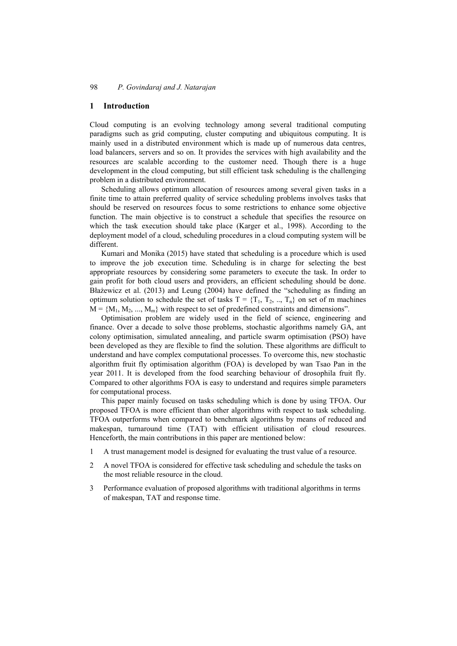## **1 Introduction**

Cloud computing is an evolving technology among several traditional computing paradigms such as grid computing, cluster computing and ubiquitous computing. It is mainly used in a distributed environment which is made up of numerous data centres, load balancers, servers and so on. It provides the services with high availability and the resources are scalable according to the customer need. Though there is a huge development in the cloud computing, but still efficient task scheduling is the challenging problem in a distributed environment.

Scheduling allows optimum allocation of resources among several given tasks in a finite time to attain preferred quality of service scheduling problems involves tasks that should be reserved on resources focus to some restrictions to enhance some objective function. The main objective is to construct a schedule that specifies the resource on which the task execution should take place (Karger et al., 1998). According to the deployment model of a cloud, scheduling procedures in a cloud computing system will be different.

Kumari and Monika (2015) have stated that scheduling is a procedure which is used to improve the job execution time. Scheduling is in charge for selecting the best appropriate resources by considering some parameters to execute the task. In order to gain profit for both cloud users and providers, an efficient scheduling should be done. Błażewicz et al. (2013) and Leung (2004) have defined the "scheduling as finding an optimum solution to schedule the set of tasks  $T = \{T_1, T_2, ..., T_n\}$  on set of m machines  $M = \{M_1, M_2, ..., M_m\}$  with respect to set of predefined constraints and dimensions".

Optimisation problem are widely used in the field of science, engineering and finance. Over a decade to solve those problems, stochastic algorithms namely GA, ant colony optimisation, simulated annealing, and particle swarm optimisation (PSO) have been developed as they are flexible to find the solution. These algorithms are difficult to understand and have complex computational processes. To overcome this, new stochastic algorithm fruit fly optimisation algorithm (FOA) is developed by wan Tsao Pan in the year 2011. It is developed from the food searching behaviour of drosophila fruit fly. Compared to other algorithms FOA is easy to understand and requires simple parameters for computational process.

This paper mainly focused on tasks scheduling which is done by using TFOA. Our proposed TFOA is more efficient than other algorithms with respect to task scheduling. TFOA outperforms when compared to benchmark algorithms by means of reduced and makespan, turnaround time (TAT) with efficient utilisation of cloud resources. Henceforth, the main contributions in this paper are mentioned below:

- 1 A trust management model is designed for evaluating the trust value of a resource.
- 2 A novel TFOA is considered for effective task scheduling and schedule the tasks on the most reliable resource in the cloud.
- 3 Performance evaluation of proposed algorithms with traditional algorithms in terms of makespan, TAT and response time.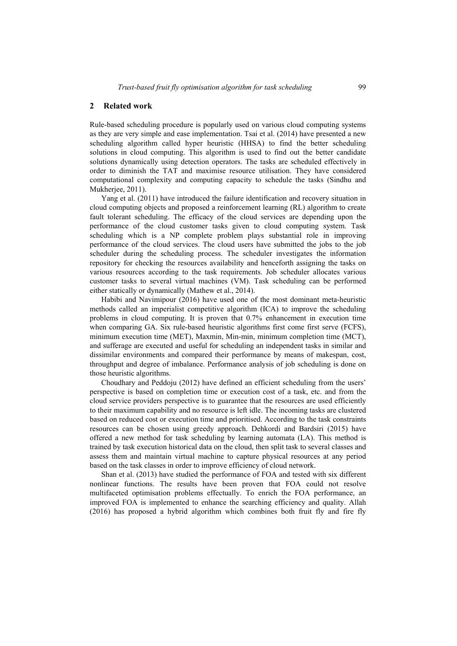#### **2 Related work**

Rule-based scheduling procedure is popularly used on various cloud computing systems as they are very simple and ease implementation. Tsai et al. (2014) have presented a new scheduling algorithm called hyper heuristic (HHSA) to find the better scheduling solutions in cloud computing. This algorithm is used to find out the better candidate solutions dynamically using detection operators. The tasks are scheduled effectively in order to diminish the TAT and maximise resource utilisation. They have considered computational complexity and computing capacity to schedule the tasks (Sindhu and Mukherjee, 2011).

Yang et al. (2011) have introduced the failure identification and recovery situation in cloud computing objects and proposed a reinforcement learning (RL) algorithm to create fault tolerant scheduling. The efficacy of the cloud services are depending upon the performance of the cloud customer tasks given to cloud computing system. Task scheduling which is a NP complete problem plays substantial role in improving performance of the cloud services. The cloud users have submitted the jobs to the job scheduler during the scheduling process. The scheduler investigates the information repository for checking the resources availability and henceforth assigning the tasks on various resources according to the task requirements. Job scheduler allocates various customer tasks to several virtual machines (VM). Task scheduling can be performed either statically or dynamically (Mathew et al., 2014).

Habibi and Navimipour (2016) have used one of the most dominant meta-heuristic methods called an imperialist competitive algorithm (ICA) to improve the scheduling problems in cloud computing. It is proven that 0.7% enhancement in execution time when comparing GA. Six rule-based heuristic algorithms first come first serve (FCFS), minimum execution time (MET), Maxmin, Min-min, minimum completion time (MCT), and sufferage are executed and useful for scheduling an independent tasks in similar and dissimilar environments and compared their performance by means of makespan, cost, throughput and degree of imbalance. Performance analysis of job scheduling is done on those heuristic algorithms.

Choudhary and Peddoju (2012) have defined an efficient scheduling from the users' perspective is based on completion time or execution cost of a task, etc. and from the cloud service providers perspective is to guarantee that the resources are used efficiently to their maximum capability and no resource is left idle. The incoming tasks are clustered based on reduced cost or execution time and prioritised. According to the task constraints resources can be chosen using greedy approach. Dehkordi and Bardsiri (2015) have offered a new method for task scheduling by learning automata (LA). This method is trained by task execution historical data on the cloud, then split task to several classes and assess them and maintain virtual machine to capture physical resources at any period based on the task classes in order to improve efficiency of cloud network.

Shan et al. (2013) have studied the performance of FOA and tested with six different nonlinear functions. The results have been proven that FOA could not resolve multifaceted optimisation problems effectually. To enrich the FOA performance, an improved FOA is implemented to enhance the searching efficiency and quality. Allah (2016) has proposed a hybrid algorithm which combines both fruit fly and fire fly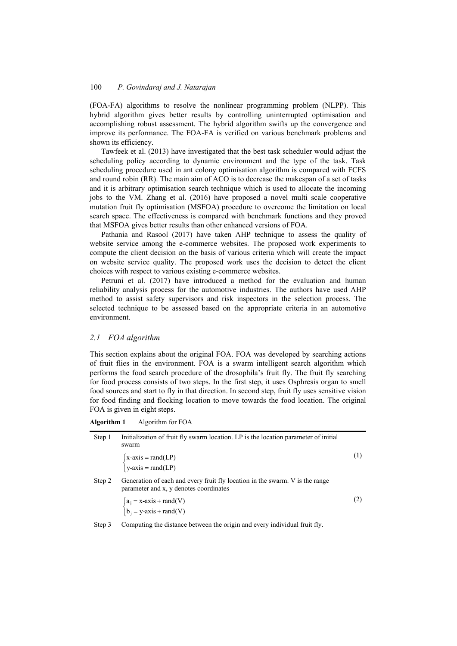(FOA-FA) algorithms to resolve the nonlinear programming problem (NLPP). This hybrid algorithm gives better results by controlling uninterrupted optimisation and accomplishing robust assessment. The hybrid algorithm swifts up the convergence and improve its performance. The FOA-FA is verified on various benchmark problems and shown its efficiency.

Tawfeek et al. (2013) have investigated that the best task scheduler would adjust the scheduling policy according to dynamic environment and the type of the task. Task scheduling procedure used in ant colony optimisation algorithm is compared with FCFS and round robin (RR). The main aim of ACO is to decrease the makespan of a set of tasks and it is arbitrary optimisation search technique which is used to allocate the incoming jobs to the VM. Zhang et al. (2016) have proposed a novel multi scale cooperative mutation fruit fly optimisation (MSFOA) procedure to overcome the limitation on local search space. The effectiveness is compared with benchmark functions and they proved that MSFOA gives better results than other enhanced versions of FOA.

Pathania and Rasool (2017) have taken AHP technique to assess the quality of website service among the e-commerce websites. The proposed work experiments to compute the client decision on the basis of various criteria which will create the impact on website service quality. The proposed work uses the decision to detect the client choices with respect to various existing e-commerce websites.

Petruni et al. (2017) have introduced a method for the evaluation and human reliability analysis process for the automotive industries. The authors have used AHP method to assist safety supervisors and risk inspectors in the selection process. The selected technique to be assessed based on the appropriate criteria in an automotive environment.

### *2.1 FOA algorithm*

This section explains about the original FOA. FOA was developed by searching actions of fruit flies in the environment. FOA is a swarm intelligent search algorithm which performs the food search procedure of the drosophila's fruit fly. The fruit fly searching for food process consists of two steps. In the first step, it uses Osphresis organ to smell food sources and start to fly in that direction. In second step, fruit fly uses sensitive vision for food finding and flocking location to move towards the food location. The original FOA is given in eight steps.

**Algorithm 1** Algorithm for FOA

| Step 1 | Initialization of fruit fly swarm location. LP is the location parameter of initial<br>swarm                           |     |
|--------|------------------------------------------------------------------------------------------------------------------------|-----|
|        | $\begin{cases} x\text{-axis} = \text{rand}(LP) \\ y\text{-axis} = \text{rand}(LP) \end{cases}$                         |     |
| Step 2 | Generation of each and every fruit fly location in the swarm. V is the range<br>parameter and x, y denotes coordinates |     |
|        | $a_j = x-axis + rand(V)$<br>$b_j = y-axis + rand(V)$                                                                   | (2) |
| Step 3 | Computing the distance between the origin and every individual fruit fly.                                              |     |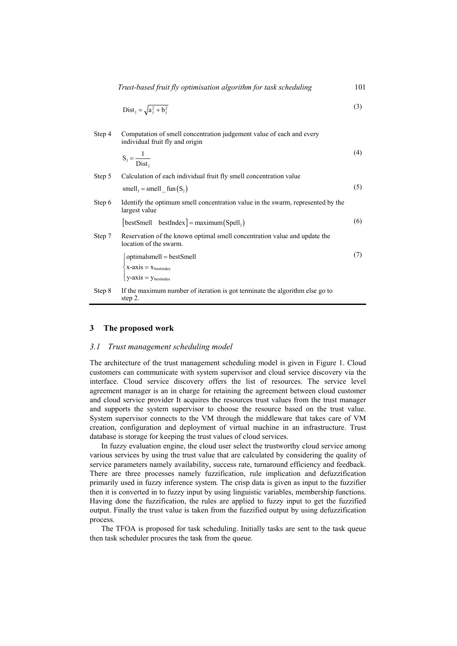$$
Dist_j = \sqrt{a_j^2 + b_j^2} \tag{3}
$$

| Step 4 | Computation of smell concentration judgement value of each and every<br>individual fruit fly and origin |     |
|--------|---------------------------------------------------------------------------------------------------------|-----|
|        | $S_j = \frac{1}{Dist_j}$                                                                                | (4) |

| Step 5 | Calculation of each individual fruit fly smell concentration value                                                                   |     |
|--------|--------------------------------------------------------------------------------------------------------------------------------------|-----|
|        | $smellj = smell_fun(Sj)$                                                                                                             | (5) |
| Step 6 | Identify the optimum smell concentration value in the swarm, represented by the<br>largest value                                     |     |
|        | [bestSmell bestIndex] = maximum(Spell <sub>i</sub> )                                                                                 | (6) |
| Step 7 | Reservation of the known optimal smell concentration value and update the<br>location of the swarm.                                  |     |
|        | optimalsmell = bestSmell<br>$\begin{cases} x\text{-axis} = x_{\text{bestindex}} \\ y\text{-axis} = y_{\text{bestindex}} \end{cases}$ |     |
| Step 8 | If the maximum number of iteration is got terminate the algorithm else go to<br>step 2.                                              |     |

#### **3 The proposed work**

#### *3.1 Trust management scheduling model*

The architecture of the trust management scheduling model is given in Figure 1. Cloud customers can communicate with system supervisor and cloud service discovery via the interface. Cloud service discovery offers the list of resources. The service level agreement manager is an in charge for retaining the agreement between cloud customer and cloud service provider It acquires the resources trust values from the trust manager and supports the system supervisor to choose the resource based on the trust value. System supervisor connects to the VM through the middleware that takes care of VM creation, configuration and deployment of virtual machine in an infrastructure. Trust database is storage for keeping the trust values of cloud services.

In fuzzy evaluation engine, the cloud user select the trustworthy cloud service among various services by using the trust value that are calculated by considering the quality of service parameters namely availability, success rate, turnaround efficiency and feedback. There are three processes namely fuzzification, rule implication and defuzzification primarily used in fuzzy inference system. The crisp data is given as input to the fuzzifier then it is converted in to fuzzy input by using linguistic variables, membership functions. Having done the fuzzification, the rules are applied to fuzzy input to get the fuzzified output. Finally the trust value is taken from the fuzzified output by using defuzzification process.

The TFOA is proposed for task scheduling. Initially tasks are sent to the task queue then task scheduler procures the task from the queue.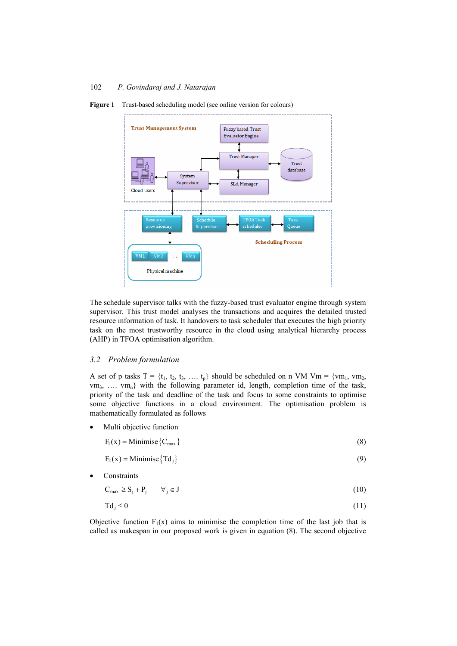

**Figure 1** Trust-based scheduling model (see online version for colours)

The schedule supervisor talks with the fuzzy-based trust evaluator engine through system supervisor. This trust model analyses the transactions and acquires the detailed trusted resource information of task. It handovers to task scheduler that executes the high priority task on the most trustworthy resource in the cloud using analytical hierarchy process (AHP) in TFOA optimisation algorithm.

### *3.2 Problem formulation*

A set of p tasks  $T = \{t_1, t_2, t_3, \dots, t_p\}$  should be scheduled on n VM Vm =  $\{vm_1, vw_2, \dots, v_p\}$  $\{vm_3, \ldots, \text{vm}_n\}$  with the following parameter id, length, completion time of the task, priority of the task and deadline of the task and focus to some constraints to optimise some objective functions in a cloud environment. The optimisation problem is mathematically formulated as follows

Multi objective function

$$
F_1(x) = \text{Minimise}\left\{C_{\text{max}}\right\} \tag{8}
$$

$$
F_2(x) = \text{Minimise} \{ \text{Td}_j \} \tag{9}
$$

**Constraints** 

$$
C_{\max} \ge S_j + P_j \qquad \forall_j \in J \tag{10}
$$

$$
Td_j \le 0 \tag{11}
$$

Objective function  $F_1(x)$  aims to minimise the completion time of the last job that is called as makespan in our proposed work is given in equation (8). The second objective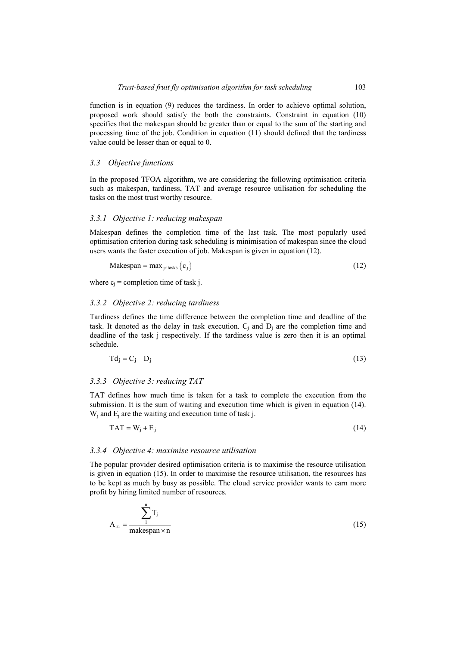function is in equation (9) reduces the tardiness. In order to achieve optimal solution, proposed work should satisfy the both the constraints. Constraint in equation (10) specifies that the makespan should be greater than or equal to the sum of the starting and processing time of the job. Condition in equation (11) should defined that the tardiness value could be lesser than or equal to 0.

## *3.3 Objective functions*

In the proposed TFOA algorithm, we are considering the following optimisation criteria such as makespan, tardiness, TAT and average resource utilisation for scheduling the tasks on the most trust worthy resource.

### *3.3.1 Objective 1: reducing makespan*

Makespan defines the completion time of the last task. The most popularly used optimisation criterion during task scheduling is minimisation of makespan since the cloud users wants the faster execution of job. Makespan is given in equation (12).

$$
Makespan = max_{j \in tasks} \{c_j\}
$$
 (12)

where  $c_i$  = completion time of task j.

## *3.3.2 Objective 2: reducing tardiness*

Tardiness defines the time difference between the completion time and deadline of the task. It denoted as the delay in task execution.  $C_i$  and  $D_i$  are the completion time and deadline of the task j respectively. If the tardiness value is zero then it is an optimal schedule.

$$
Td_j = C_j - D_j \tag{13}
$$

### *3.3.3 Objective 3: reducing TAT*

TAT defines how much time is taken for a task to complete the execution from the submission. It is the sum of waiting and execution time which is given in equation (14).  $W_i$  and  $E_i$  are the waiting and execution time of task j.

$$
TAT = W_j + E_j \tag{14}
$$

### *3.3.4 Objective 4: maximise resource utilisation*

The popular provider desired optimisation criteria is to maximise the resource utilisation is given in equation (15). In order to maximise the resource utilisation, the resources has to be kept as much by busy as possible. The cloud service provider wants to earn more profit by hiring limited number of resources.

$$
A_{ru} = \frac{\sum_{i=1}^{n} T_{j}}{\text{makespan} \times n}
$$
 (15)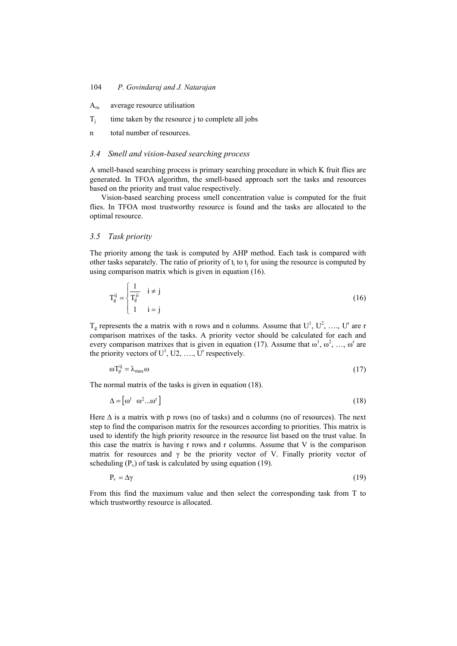- $A_{ru}$  average resource utilisation
- $T_i$  time taken by the resource j to complete all jobs
- n total number of resources.

## *3.4 Smell and vision-based searching process*

A smell-based searching process is primary searching procedure in which K fruit flies are generated. In TFOA algorithm, the smell-based approach sort the tasks and resources based on the priority and trust value respectively.

Vision-based searching process smell concentration value is computed for the fruit flies. In TFOA most trustworthy resource is found and the tasks are allocated to the optimal resource.

#### *3.5 Task priority*

The priority among the task is computed by AHP method. Each task is compared with other tasks separately. The ratio of priority of  $t_i$  to  $t_j$  for using the resource is computed by using comparison matrix which is given in equation (16).

$$
\mathbf{T}^{ij}_{g} = \begin{cases} \frac{1}{\mathbf{T}^{ji}_{g}} & i \neq j \\ 1 & i = j \end{cases} \tag{16}
$$

 $T_g$  represents the a matrix with n rows and n columns. Assume that  $U^1$ ,  $U^2$ , ...,  $U^r$  are r comparison matrixes of the tasks. A priority vector should be calculated for each and every comparison matrixes that is given in equation (17). Assume that  $\omega^1$ ,  $\omega^2$ , ...,  $\omega^r$  are the priority vectors of  $U^1$ , U2, ..., U<sup>r</sup> respectively.

$$
\omega T_p^{ij} = \lambda_{\text{max}} \omega \tag{17}
$$

The normal matrix of the tasks is given in equation (18).

$$
\Delta = \begin{bmatrix} \omega^1 & \omega^2 \dots \omega^r \end{bmatrix} \tag{18}
$$

Here  $\Delta$  is a matrix with p rows (no of tasks) and n columns (no of resources). The next step to find the comparison matrix for the resources according to priorities. This matrix is used to identify the high priority resource in the resource list based on the trust value. In this case the matrix is having r rows and r columns. Assume that V is the comparison matrix for resources and  $\gamma$  be the priority vector of V. Finally priority vector of scheduling  $(P_v)$  of task is calculated by using equation (19).

$$
P_{v} = \Delta \gamma \tag{19}
$$

From this find the maximum value and then select the corresponding task from T to which trustworthy resource is allocated.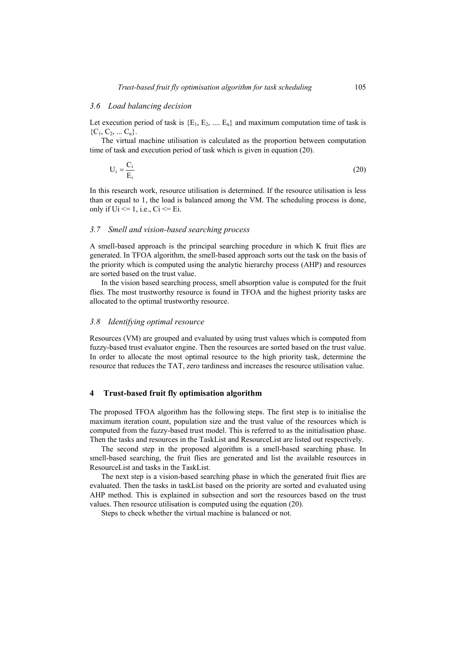#### *3.6 Load balancing decision*

Let execution period of task is  ${E_1, E_2, ..., E_n}$  and maximum computation time of task is  ${C_1, C_2, ... C_n}.$ 

The virtual machine utilisation is calculated as the proportion between computation time of task and execution period of task which is given in equation (20).

$$
U_i = \frac{C_i}{E_i} \tag{20}
$$

In this research work, resource utilisation is determined. If the resource utilisation is less than or equal to 1, the load is balanced among the VM. The scheduling process is done, only if  $Ui \le 1$ , i.e.,  $Ci \le 1$ .

#### *3.7 Smell and vision-based searching process*

A smell-based approach is the principal searching procedure in which K fruit flies are generated. In TFOA algorithm, the smell-based approach sorts out the task on the basis of the priority which is computed using the analytic hierarchy process (AHP) and resources are sorted based on the trust value.

In the vision based searching process, smell absorption value is computed for the fruit flies. The most trustworthy resource is found in TFOA and the highest priority tasks are allocated to the optimal trustworthy resource.

#### *3.8 Identifying optimal resource*

Resources (VM) are grouped and evaluated by using trust values which is computed from fuzzy-based trust evaluator engine. Then the resources are sorted based on the trust value. In order to allocate the most optimal resource to the high priority task, determine the resource that reduces the TAT, zero tardiness and increases the resource utilisation value.

#### **4 Trust-based fruit fly optimisation algorithm**

The proposed TFOA algorithm has the following steps. The first step is to initialise the maximum iteration count, population size and the trust value of the resources which is computed from the fuzzy-based trust model. This is referred to as the initialisation phase. Then the tasks and resources in the TaskList and ResourceList are listed out respectively.

The second step in the proposed algorithm is a smell-based searching phase. In smell-based searching, the fruit flies are generated and list the available resources in ResourceList and tasks in the TaskList.

The next step is a vision-based searching phase in which the generated fruit flies are evaluated. Then the tasks in taskList based on the priority are sorted and evaluated using AHP method. This is explained in subsection and sort the resources based on the trust values. Then resource utilisation is computed using the equation (20).

Steps to check whether the virtual machine is balanced or not.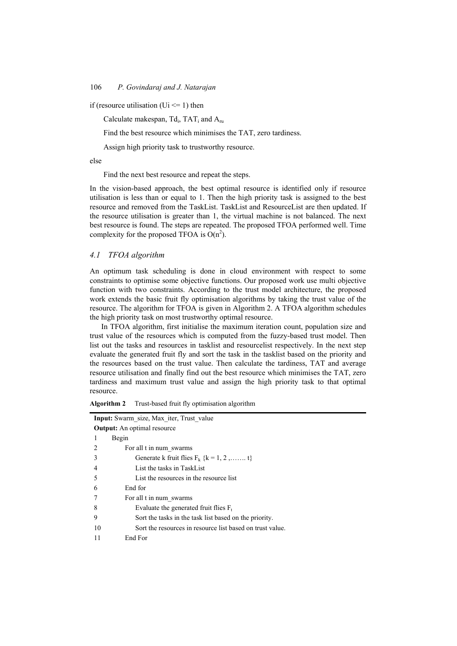if (resource utilisation (Ui  $\leq$  1) then

Calculate makespan,  $Td_i$ ,  $TAT_i$  and  $A_{rn}$ 

Find the best resource which minimises the TAT, zero tardiness.

Assign high priority task to trustworthy resource.

else

Find the next best resource and repeat the steps.

In the vision-based approach, the best optimal resource is identified only if resource utilisation is less than or equal to 1. Then the high priority task is assigned to the best resource and removed from the TaskList. TaskList and ResourceList are then updated. If the resource utilisation is greater than 1, the virtual machine is not balanced. The next best resource is found. The steps are repeated. The proposed TFOA performed well. Time complexity for the proposed TFOA is  $O(n^2)$ .

# *4.1 TFOA algorithm*

An optimum task scheduling is done in cloud environment with respect to some constraints to optimise some objective functions. Our proposed work use multi objective function with two constraints. According to the trust model architecture, the proposed work extends the basic fruit fly optimisation algorithms by taking the trust value of the resource. The algorithm for TFOA is given in Algorithm 2. A TFOA algorithm schedules the high priority task on most trustworthy optimal resource.

In TFOA algorithm, first initialise the maximum iteration count, population size and trust value of the resources which is computed from the fuzzy-based trust model. Then list out the tasks and resources in tasklist and resourcelist respectively. In the next step evaluate the generated fruit fly and sort the task in the tasklist based on the priority and the resources based on the trust value. Then calculate the tardiness, TAT and average resource utilisation and finally find out the best resource which minimises the TAT, zero tardiness and maximum trust value and assign the high priority task to that optimal resource.

**Algorithm 2** Trust-based fruit fly optimisation algorithm

| <b>Input:</b> Swarm size, Max iter, Trust value                 |  |  |  |  |
|-----------------------------------------------------------------|--|--|--|--|
| <b>Output:</b> An optimal resource                              |  |  |  |  |
| Begin<br>1                                                      |  |  |  |  |
| For all t in num swarms<br>2                                    |  |  |  |  |
| 3<br>Generate k fruit flies $F_k$ {k = 1, 2, t}                 |  |  |  |  |
| List the tasks in TaskList<br>$\overline{4}$                    |  |  |  |  |
| List the resources in the resource list<br>5                    |  |  |  |  |
| End for<br>6                                                    |  |  |  |  |
| For all t in num swarms<br>7                                    |  |  |  |  |
| 8<br>Evaluate the generated fruit flies $F_t$                   |  |  |  |  |
| 9<br>Sort the tasks in the task list based on the priority.     |  |  |  |  |
| Sort the resources in resource list based on trust value.<br>10 |  |  |  |  |
| End For<br>11                                                   |  |  |  |  |
|                                                                 |  |  |  |  |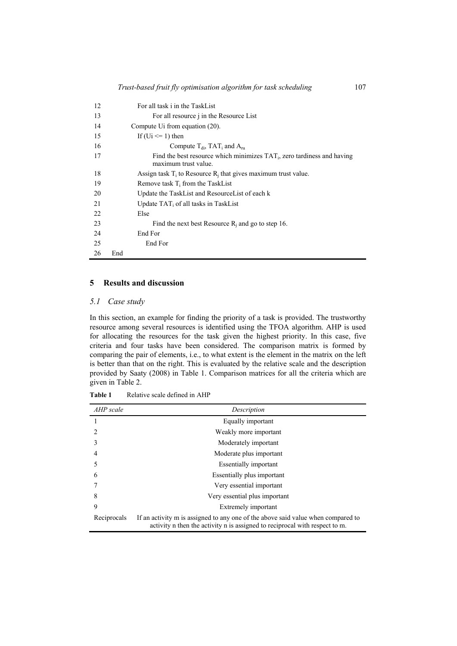| 12 |     | For all task i in the TaskList                                                                |
|----|-----|-----------------------------------------------------------------------------------------------|
| 13 |     | For all resource <i>i</i> in the Resource List                                                |
| 14 |     | Compute U <sub>i</sub> from equation (20).                                                    |
| 15 |     | If $(U_i \leq 1)$ then                                                                        |
| 16 |     | Compute $T_{di}$ , TAT <sub>i</sub> and $A_{ru}$                                              |
| 17 |     | Find the best resource which minimizes TAT, zero tardiness and having<br>maximum trust value. |
| 18 |     | Assign task $T_i$ to Resource $R_i$ that gives maximum trust value.                           |
| 19 |     | Remove task $T_i$ from the TaskList                                                           |
| 20 |     | Update the TaskList and ResourceList of each k                                                |
| 21 |     | Update $TAT_i$ of all tasks in TaskList                                                       |
| 22 |     | Else                                                                                          |
| 23 |     | Find the next best Resource $R_i$ and go to step 16.                                          |
| 24 |     | End For                                                                                       |
| 25 |     | End For                                                                                       |
| 26 | End |                                                                                               |

# **5 Results and discussion**

#### *5.1 Case study*

In this section, an example for finding the priority of a task is provided. The trustworthy resource among several resources is identified using the TFOA algorithm. AHP is used for allocating the resources for the task given the highest priority. In this case, five criteria and four tasks have been considered. The comparison matrix is formed by comparing the pair of elements, i.e., to what extent is the element in the matrix on the left is better than that on the right. This is evaluated by the relative scale and the description provided by Saaty (2008) in Table 1. Comparison matrices for all the criteria which are given in Table 2.

| AHP scale   | Description                                                                                                                                                     |
|-------------|-----------------------------------------------------------------------------------------------------------------------------------------------------------------|
|             | Equally important                                                                                                                                               |
|             | Weakly more important                                                                                                                                           |
| 3           | Moderately important                                                                                                                                            |
| 4           | Moderate plus important                                                                                                                                         |
|             | <b>Essentially important</b>                                                                                                                                    |
| 6           | Essentially plus important                                                                                                                                      |
|             | Very essential important                                                                                                                                        |
| 8           | Very essential plus important                                                                                                                                   |
| 9           | Extremely important                                                                                                                                             |
| Reciprocals | If an activity m is assigned to any one of the above said value when compared to<br>activity n then the activity n is assigned to reciprocal with respect to m. |

**Table 1** Relative scale defined in AHP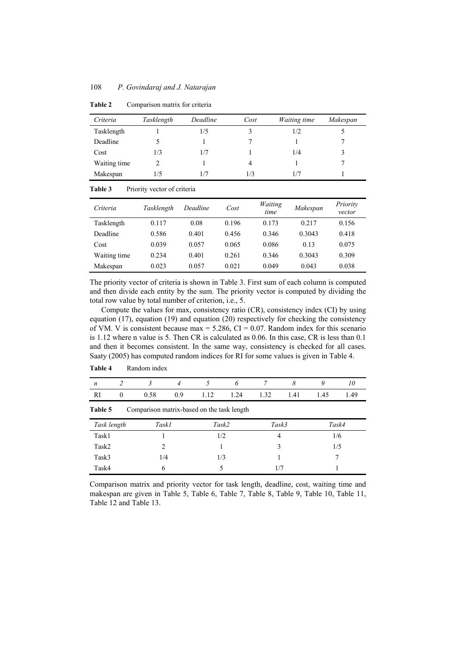| Criteria     | Tasklength | Deadline | Cost | <i>Waiting time</i> | Makespan |
|--------------|------------|----------|------|---------------------|----------|
| Tasklength   |            | 1/5      | 3    | 1/2                 |          |
| Deadline     |            |          |      |                     |          |
| Cost         | 1/3        | 1/7      |      | 1/4                 |          |
| Waiting time |            |          | 4    |                     |          |
| Makespan     | 1/5        | 1/7      | 1/3  | 1/7                 |          |

**Table 2** Comparison matrix for criteria

#### Table 3 Priority vector of criteria

| Criteria     | Tasklength | Deadline | Cost  | Waiting<br>time | Makespan | Priority<br>vector |
|--------------|------------|----------|-------|-----------------|----------|--------------------|
| Tasklength   | 0.117      | 0.08     | 0.196 | 0.173           | 0.217    | 0.156              |
| Deadline     | 0.586      | 0.401    | 0.456 | 0.346           | 0.3043   | 0.418              |
| Cost         | 0.039      | 0.057    | 0.065 | 0.086           | 0.13     | 0.075              |
| Waiting time | 0.234      | 0.401    | 0.261 | 0.346           | 0.3043   | 0.309              |
| Makespan     | 0.023      | 0.057    | 0.021 | 0.049           | 0.043    | 0.038              |

The priority vector of criteria is shown in Table 3. First sum of each column is computed and then divide each entity by the sum. The priority vector is computed by dividing the total row value by total number of criterion, i.e., 5.

Compute the values for max, consistency ratio (CR), consistency index (CI) by using equation (17), equation (19) and equation (20) respectively for checking the consistency of VM. V is consistent because  $max = 5.286$ , CI = 0.07. Random index for this scenario is 1.12 where n value is 5. Then CR is calculated as 0.06. In this case, CR is less than 0.1 and then it becomes consistent. In the same way, consistency is checked for all cases. Saaty (2005) has computed random indices for RI for some values is given in Table 4.

| n                                                     |                               | 3    |     |       |      |       |      | Q    | 10   |
|-------------------------------------------------------|-------------------------------|------|-----|-------|------|-------|------|------|------|
| RI                                                    | $\theta$                      | 0.58 | 0.9 | 1.12  | 1.24 | 1.32  | 1.41 | 1.45 | 1.49 |
| Table 5<br>Comparison matrix-based on the task length |                               |      |     |       |      |       |      |      |      |
|                                                       | Task2<br>Task length<br>Task1 |      |     | Task3 |      | Task4 |      |      |      |
| Task1                                                 |                               |      |     | 1/2   |      |       |      |      | 1/6  |
| Task2                                                 |                               | 2    |     |       |      |       |      | 1/5  |      |
| Task3                                                 |                               | 1/4  |     | 1/3   |      |       |      |      |      |
| Task4                                                 |                               | 6    |     | 1/7   |      |       |      |      |      |

**Table 4** Random index

Comparison matrix and priority vector for task length, deadline, cost, waiting time and makespan are given in Table 5, Table 6, Table 7, Table 8, Table 9, Table 10, Table 11, Table 12 and Table 13.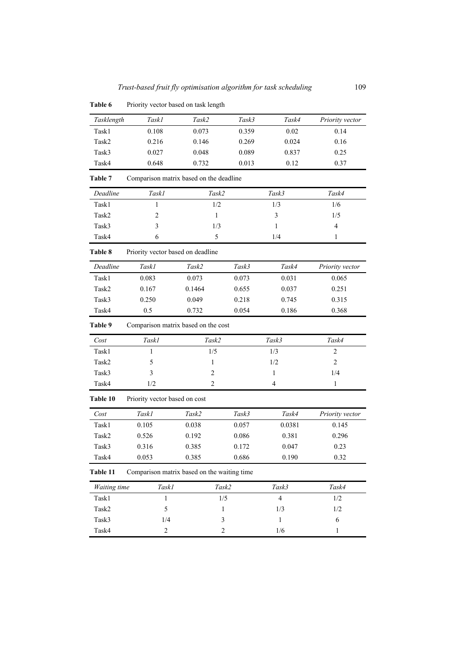| Tasklength   | Task1                                       | Task2          | Task3          | Task4                    | Priority vector |
|--------------|---------------------------------------------|----------------|----------------|--------------------------|-----------------|
| Task1        | 0.108                                       | 0.073          | 0.359          | 0.02                     | 0.14            |
| Task2        | 0.216                                       | 0.146          | 0.269          | 0.024                    | 0.16            |
| Task3        | 0.027                                       | 0.048          | 0.089          | 0.837                    | 0.25            |
| Task4        | 0.648                                       | 0.732          | 0.013          | 0.12                     | 0.37            |
| Table 7      | Comparison matrix based on the deadline     |                |                |                          |                 |
| Deadline     | Task1                                       | Task2          |                | Task3                    | Task4           |
| Task1        | $\mathbf{1}$                                | 1/2            |                | 1/3                      | 1/6             |
| Task2        | 2                                           | 1              |                | $\mathfrak{Z}$           | 1/5             |
| Task3        | 3                                           | 1/3            |                | 1                        | $\overline{4}$  |
| Task4        | 6                                           | 5              |                | $1/4\,$                  | $\mathbf{1}$    |
| Table 8      | Priority vector based on deadline           |                |                |                          |                 |
| Deadline     | Task1                                       | Task2          | Task3          | Task4                    | Priority vector |
| Task1        | 0.083                                       | 0.073          | 0.073          | 0.031                    | 0.065           |
| Task2        | 0.167                                       | 0.1464         | 0.655          | 0.037                    | 0.251           |
| Task3        | 0.250                                       | 0.049          | 0.218          | 0.745                    | 0.315           |
| Task4        | 0.5                                         | 0.732          | 0.054          | 0.186                    | 0.368           |
| Table 9      | Comparison matrix based on the cost         |                |                |                          |                 |
| Cost         | Task1                                       | Task2          |                | Task3                    | Task4           |
| Task1        | 1                                           | 1/5            |                | 1/3                      | $\overline{c}$  |
| Task2        | 5                                           | 1              |                | 1/2                      | $\overline{2}$  |
| Task3        | 3                                           | $\overline{c}$ |                | 1                        | 1/4             |
| Task4        | 1/2                                         | $\overline{c}$ |                | $\overline{\mathcal{L}}$ | $\mathbf{1}$    |
| Table 10     | Priority vector based on cost               |                |                |                          |                 |
| Cost         | Task1                                       | Task2          | Task3          | Task4                    | Priority vector |
| Task1        | 0.105                                       | 0.038          | 0.057          | 0.0381                   | 0.145           |
| Task2        | 0.526                                       | 0.192          | 0.086          | 0.381                    | 0.296           |
| Task3        | 0.316                                       | 0.385          | 0.172          | 0.047                    | 0.23            |
| Task4        | 0.053                                       | 0.385          | 0.686          | 0.190                    | 0.32            |
| Table 11     | Comparison matrix based on the waiting time |                |                |                          |                 |
| Waiting time | Task1                                       |                | Task2          | Task3                    | Task4           |
| Task1        | $\mathbf{1}$                                |                | 1/5            | $\overline{4}$           | 1/2             |
| Task2        | 5                                           |                | 1              | 1/3                      | 1/2             |
| Task3        | 1/4                                         |                | 3              | $\mathbf{1}$             | $\sqrt{6}$      |
| Task4        | $\overline{c}$                              |                | $\overline{c}$ | 1/6                      | 1               |

Table 6 Priority vector based on task length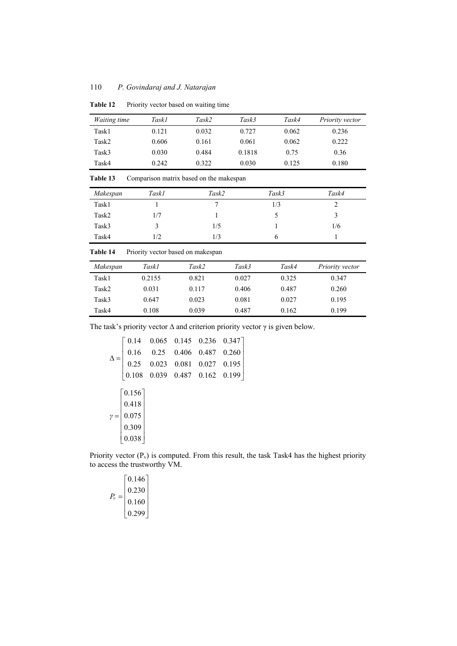# 110 *P. Govindaraj and J. Natarajan*

| <i>Waiting time</i> | Task1 | Task2 | Task3  | Task4 | Priority vector |
|---------------------|-------|-------|--------|-------|-----------------|
| Task1               | 0.121 | 0.032 | 0.727  | 0.062 | 0.236           |
| Task2               | 0.606 | 0.161 | 0.061  | 0.062 | 0.222           |
| Task3               | 0.030 | 0.484 | 0.1818 | 0.75  | 0.36            |
| Task4               | 0.242 | 0.322 | 0.030  | 0.125 | 0.180           |

**Table 12** Priority vector based on waiting time

Table 13 Comparison matrix based on the makespan

| Makespan | Task1 | Task2 | Task3 | Task4 |
|----------|-------|-------|-------|-------|
| Task1    |       |       | 1/3   |       |
| Task2    | 1/7   |       |       |       |
| Task3    | ć     | 1/5   |       | 1/6   |
| Task4    | 1/2   | 1/3   | n     |       |

**Table 14** Priority vector based on makespan

| Makespan | Task1  | Task2 | Task3 | Task4 | Priority vector |
|----------|--------|-------|-------|-------|-----------------|
| Task1    | 0.2155 | 0.821 | 0.027 | 0.325 | 0.347           |
| Task2    | 0.031  | 0.117 | 0.406 | 0.487 | 0.260           |
| Task3    | 0.647  | 0.023 | 0.081 | 0.027 | 0.195           |
| Task4    | 0.108  | 0.039 | 0.487 | 0.162 | 0.199           |

The task's priority vector  $\Delta$  and criterion priority vector  $\gamma$  is given below.

$$
\Delta = \begin{bmatrix}\n0.14 & 0.065 & 0.145 & 0.236 & 0.347 \\
0.16 & 0.25 & 0.406 & 0.487 & 0.260 \\
0.25 & 0.023 & 0.081 & 0.027 & 0.195 \\
0.108 & 0.039 & 0.487 & 0.162 & 0.199\n\end{bmatrix}
$$
\n
$$
\gamma = \begin{bmatrix}\n0.156 \\
0.418 \\
0.075 \\
0.309 \\
0.038\n\end{bmatrix}
$$

Priority vector  $(P_v)$  is computed. From this result, the task Task4 has the highest priority to access the trustworthy VM.

0.146 0.230 0.160 0.299 *Pv*  $\mid 0.146 \mid$  $\lfloor$  0.220  $=\left|\begin{array}{c} 0.250 \\ 0.160 \end{array}\right|$  $\lfloor 0.299 \rfloor$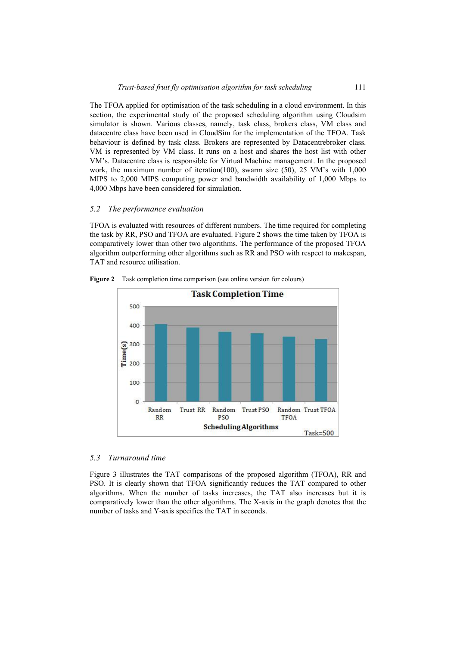The TFOA applied for optimisation of the task scheduling in a cloud environment. In this section, the experimental study of the proposed scheduling algorithm using Cloudsim simulator is shown. Various classes, namely, task class, brokers class, VM class and datacentre class have been used in CloudSim for the implementation of the TFOA. Task behaviour is defined by task class. Brokers are represented by Datacentrebroker class. VM is represented by VM class. It runs on a host and shares the host list with other VM's. Datacentre class is responsible for Virtual Machine management. In the proposed work, the maximum number of iteration(100), swarm size (50), 25 VM's with 1,000 MIPS to 2,000 MIPS computing power and bandwidth availability of 1,000 Mbps to 4,000 Mbps have been considered for simulation.

# *5.2 The performance evaluation*

TFOA is evaluated with resources of different numbers. The time required for completing the task by RR, PSO and TFOA are evaluated. Figure 2 shows the time taken by TFOA is comparatively lower than other two algorithms. The performance of the proposed TFOA algorithm outperforming other algorithms such as RR and PSO with respect to makespan, TAT and resource utilisation.



**Figure 2** Task completion time comparison (see online version for colours)

# *5.3 Turnaround time*

Figure 3 illustrates the TAT comparisons of the proposed algorithm (TFOA), RR and PSO. It is clearly shown that TFOA significantly reduces the TAT compared to other algorithms. When the number of tasks increases, the TAT also increases but it is comparatively lower than the other algorithms. The X-axis in the graph denotes that the number of tasks and Y-axis specifies the TAT in seconds.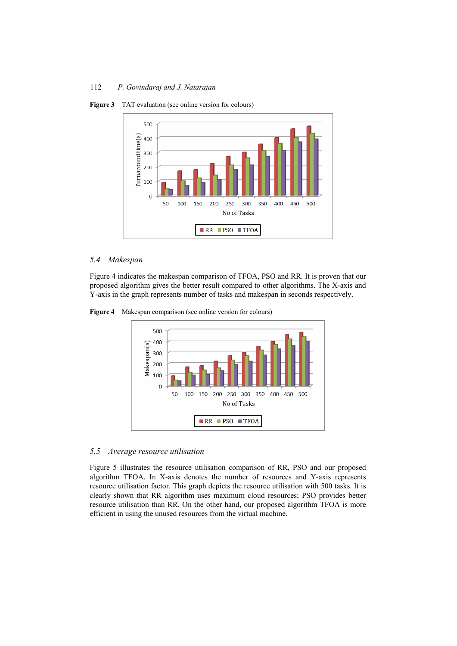

**Figure 3** TAT evaluation (see online version for colours)

# *5.4 Makespan*

Figure 4 indicates the makespan comparison of TFOA, PSO and RR. It is proven that our proposed algorithm gives the better result compared to other algorithms. The X-axis and Y-axis in the graph represents number of tasks and makespan in seconds respectively.

**Figure 4** Makespan comparison (see online version for colours)



# *5.5 Average resource utilisation*

Figure 5 illustrates the resource utilisation comparison of RR, PSO and our proposed algorithm TFOA. In X-axis denotes the number of resources and Y-axis represents resource utilisation factor. This graph depicts the resource utilisation with 500 tasks. It is clearly shown that RR algorithm uses maximum cloud resources; PSO provides better resource utilisation than RR. On the other hand, our proposed algorithm TFOA is more efficient in using the unused resources from the virtual machine.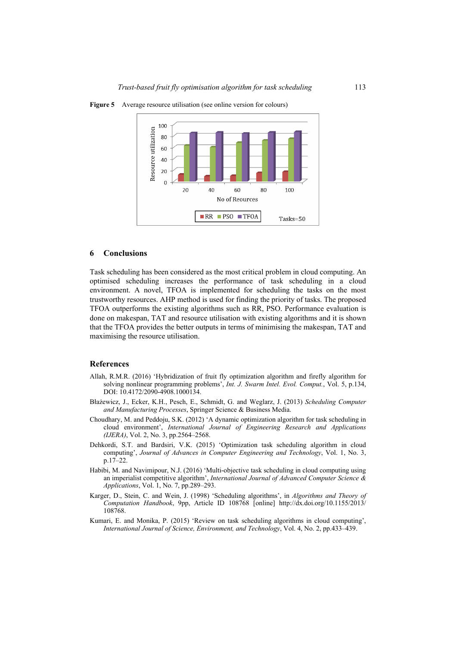

**Figure 5** Average resource utilisation (see online version for colours)

#### **6 Conclusions**

Task scheduling has been considered as the most critical problem in cloud computing. An optimised scheduling increases the performance of task scheduling in a cloud environment. A novel, TFOA is implemented for scheduling the tasks on the most trustworthy resources. AHP method is used for finding the priority of tasks. The proposed TFOA outperforms the existing algorithms such as RR, PSO. Performance evaluation is done on makespan, TAT and resource utilisation with existing algorithms and it is shown that the TFOA provides the better outputs in terms of minimising the makespan, TAT and maximising the resource utilisation.

#### **References**

- Allah, R.M.R. (2016) 'Hybridization of fruit fly optimization algorithm and firefly algorithm for solving nonlinear programming problems', *Int. J. Swarm Intel. Evol. Comput.*, Vol. 5, p.134, DOI: 10.4172/2090-4908.1000134.
- Błażewicz, J., Ecker, K.H., Pesch, E., Schmidt, G. and Weglarz, J. (2013) *Scheduling Computer and Manufacturing Processes*, Springer Science & Business Media.
- Choudhary, M. and Peddoju, S.K. (2012) 'A dynamic optimization algorithm for task scheduling in cloud environment', *International Journal of Engineering Research and Applications (IJERA)*, Vol. 2, No. 3, pp.2564–2568.
- Dehkordi, S.T. and Bardsiri, V.K. (2015) 'Optimization task scheduling algorithm in cloud computing', *Journal of Advances in Computer Engineering and Technology*, Vol. 1, No. 3, p.17–22.
- Habibi, M. and Navimipour, N.J. (2016) 'Multi-objective task scheduling in cloud computing using an imperialist competitive algorithm', *International Journal of Advanced Computer Science & Applications*, Vol. 1, No. 7, pp.289–293.
- Karger, D., Stein, C. and Wein, J. (1998) 'Scheduling algorithms', in *Algorithms and Theory of Computation Handbook*, 9pp, Article ID 108768 [online] http://dx.doi.org/10.1155/2013/ 108768.
- Kumari, E. and Monika, P. (2015) 'Review on task scheduling algorithms in cloud computing', *International Journal of Science, Environment, and Technology*, Vol. 4, No. 2, pp.433–439.